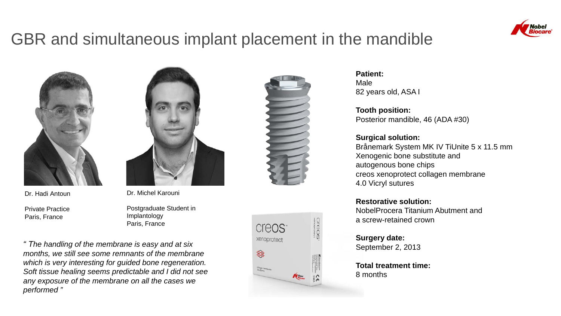

# GBR and simultaneous implant placement in the mandible



Dr. Hadi Antoun

Private Practice Paris, France



Dr. Michel Karouni

Postgraduate Student in Implantology Paris, France

*" The handling of the membrane is easy and at six months, we still see some remnants of the membrane which is very interesting for guided bone regeneration. Soft tissue healing seems predictable and I did not see any exposure of the membrane on all the cases we performed "*





**Patient:** Male 82 years old, ASA I

**Tooth position:** Posterior mandible, 46 (ADA #30)

**Surgical solution:** Brånemark System MK IV TiUnite 5 x 11.5 mm Xenogenic bone substitute and autogenous bone chips creos xenoprotect collagen membrane 4.0 Vicryl sutures

**Restorative solution:** NobelProcera Titanium Abutment and a screw-retained crown

**Surgery date:** September 2, 2013

**Total treatment time:** 8 months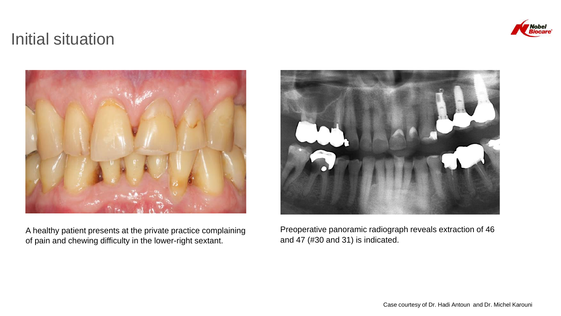## Initial situation



A healthy patient presents at the private practice complaining of pain and chewing difficulty in the lower-right sextant.



Preoperative panoramic radiograph reveals extraction of 46 and 47 (#30 and 31) is indicated.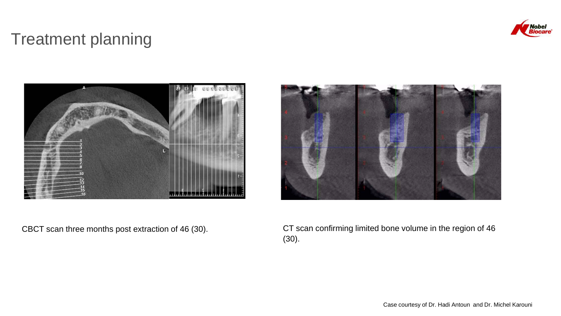

## Treatment planning





CBCT scan three months post extraction of 46 (30). CT scan confirming limited bone volume in the region of 46 (30).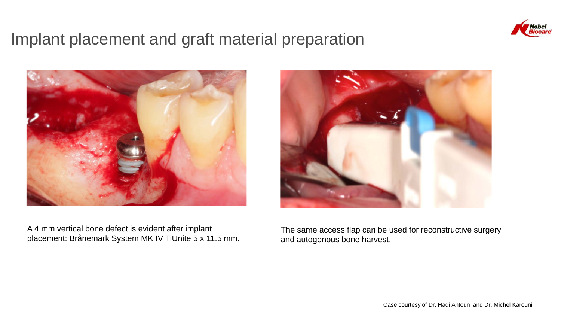

## Implant placement and graft material preparation



A 4 mm vertical bone defect is evident after implant placement: Brånemark System MK IV TiUnite 5 x 11.5 mm.



The same access flap can be used for reconstructive surgery and autogenous bone harvest.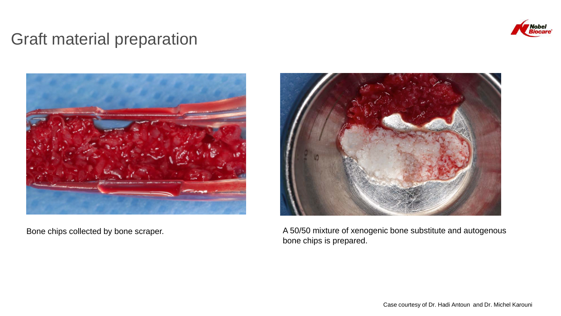

## Graft material preparation





Bone chips collected by bone scraper. The state of Xenogenic bone substitute and autogenous and autogenous bone chips is prepared.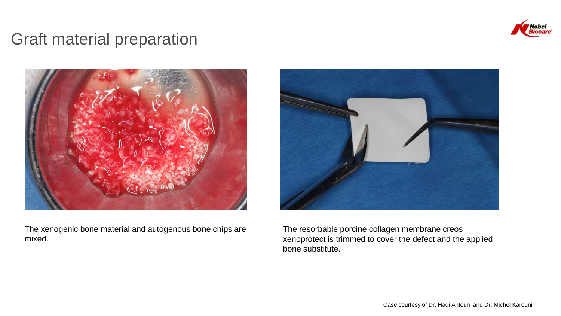

## Graft material preparation



The xenogenic bone material and autogenous bone chips are mixed.



The resorbable porcine collagen membrane creos xenoprotect is trimmed to cover the defect and the applied bone substitute.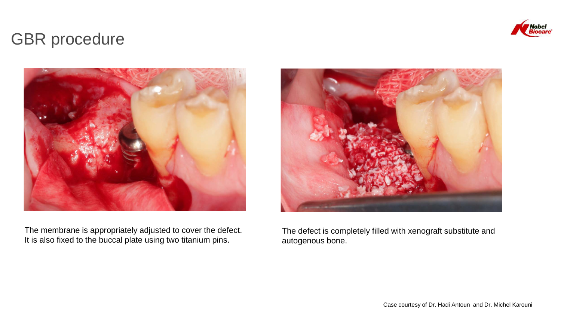

## GBR procedure



The membrane is appropriately adjusted to cover the defect. It is also fixed to the buccal plate using two titanium pins.

![](_page_6_Picture_4.jpeg)

The defect is completely filled with xenograft substitute and autogenous bone.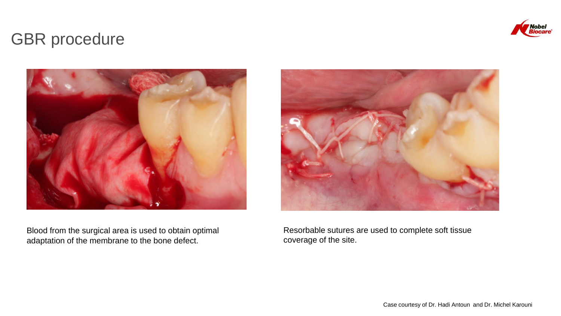![](_page_7_Picture_0.jpeg)

## GBR procedure

![](_page_7_Picture_2.jpeg)

Blood from the surgical area is used to obtain optimal adaptation of the membrane to the bone defect.

![](_page_7_Picture_4.jpeg)

Resorbable sutures are used to complete soft tissue coverage of the site.

Case courtesy of Dr. Hadi Antoun and Dr. Michel Karouni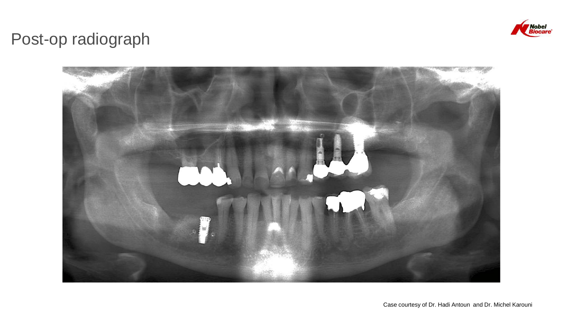![](_page_8_Picture_0.jpeg)

# Post-op radiograph

![](_page_8_Picture_2.jpeg)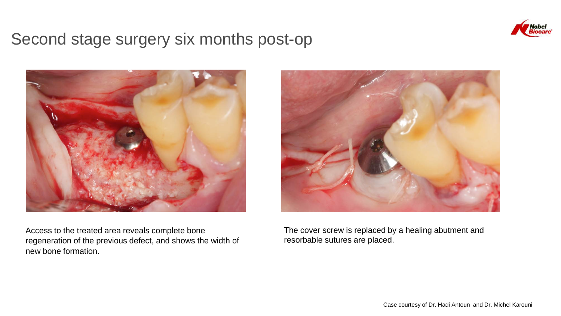![](_page_9_Picture_0.jpeg)

#### Second stage surgery six months post-op

![](_page_9_Picture_2.jpeg)

Access to the treated area reveals complete bone regeneration of the previous defect, and shows the width of new bone formation.

![](_page_9_Picture_4.jpeg)

The cover screw is replaced by a healing abutment and resorbable sutures are placed.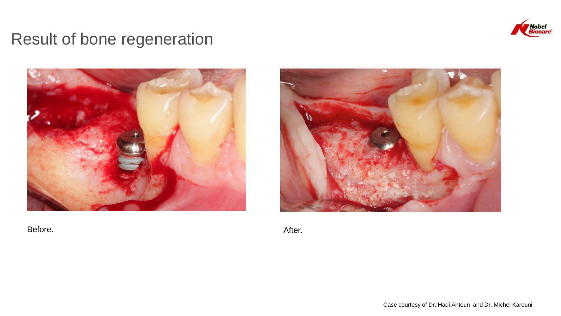![](_page_10_Picture_0.jpeg)

# Result of bone regeneration

![](_page_10_Picture_2.jpeg)

Before. After.

![](_page_10_Picture_4.jpeg)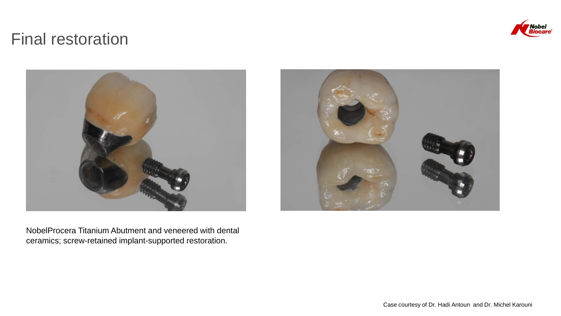![](_page_11_Picture_0.jpeg)

## Final restoration

![](_page_11_Picture_2.jpeg)

NobelProcera Titanium Abutment and veneered with dental ceramics; screw-retained implant-supported restoration.

![](_page_11_Picture_4.jpeg)